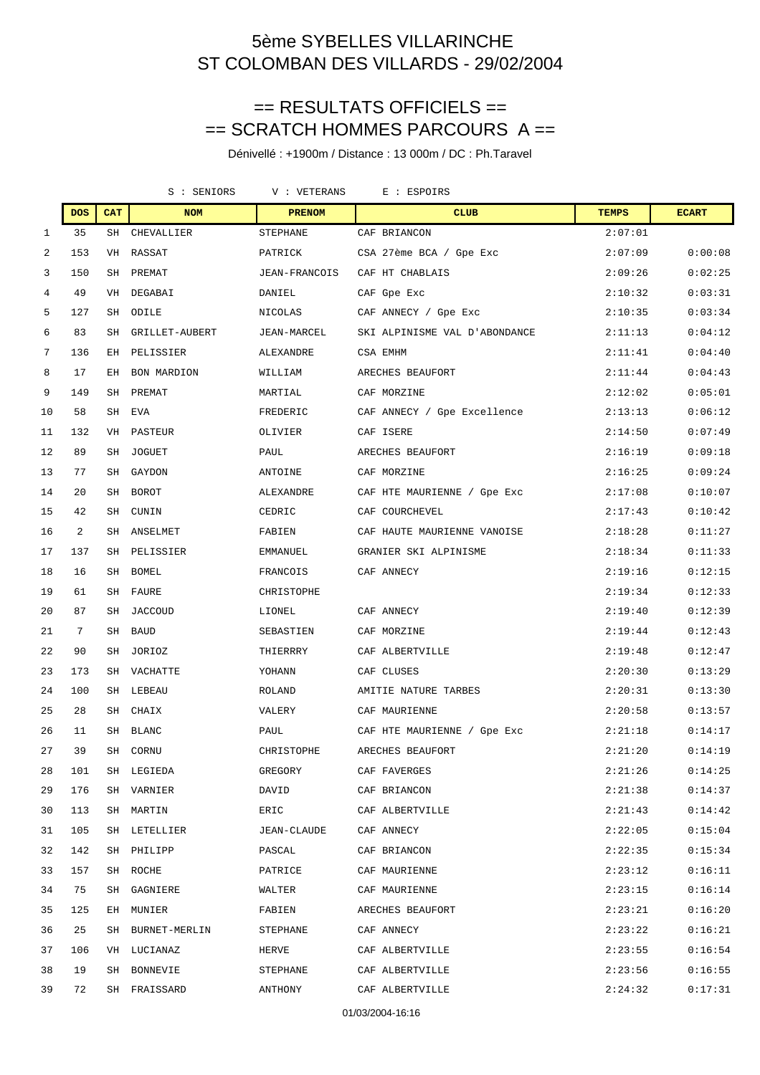## == RESULTATS OFFICIELS == == SCRATCH HOMMES PARCOURS A ==

|              |            |            | S : SENIORS        | V : VETERANS<br>E : ESPOIRS |  |                               |              |              |
|--------------|------------|------------|--------------------|-----------------------------|--|-------------------------------|--------------|--------------|
|              | <b>DOS</b> | <b>CAT</b> | <b>NOM</b>         | <b>PRENOM</b>               |  | <b>CLUB</b>                   | <b>TEMPS</b> | <b>ECART</b> |
| $\mathbf{1}$ | 35         | SH         | CHEVALLIER         | STEPHANE                    |  | CAF BRIANCON                  | 2:07:01      |              |
| 2            | 153        | VH         | RASSAT             | PATRICK                     |  | CSA 27ème BCA / Gpe Exc       | 2:07:09      | 0:00:08      |
| 3            | 150        |            | SH PREMAT          | JEAN-FRANCOIS               |  | CAF HT CHABLAIS               | 2:09:26      | 0:02:25      |
| 4            | 49         | VH         | DEGABAI            | DANIEL                      |  | CAF Gpe Exc                   | 2:10:32      | 0:03:31      |
| 5            | 127        | SH         | ODILE              | NICOLAS                     |  | CAF ANNECY / Gpe Exc          | 2:10:35      | 0:03:34      |
| 6            | 83         | SH         | GRILLET-AUBERT     | JEAN-MARCEL                 |  | SKI ALPINISME VAL D'ABONDANCE | 2:11:13      | 0:04:12      |
| 7            | 136        | ЕH         | PELISSIER          | ALEXANDRE                   |  | CSA EMHM                      | 2:11:41      | 0:04:40      |
| 8            | 17         | ЕH         | <b>BON MARDION</b> | WILLIAM                     |  | ARECHES BEAUFORT              | 2:11:44      | 0:04:43      |
| 9            | 149        | SH         | PREMAT             | MARTIAL                     |  | CAF MORZINE                   | 2:12:02      | 0:05:01      |
| 10           | 58         |            | SH EVA             | FREDERIC                    |  | CAF ANNECY / Gpe Excellence   | 2:13:13      | 0:06:12      |
| 11           | 132        | VH         | PASTEUR            | OLIVIER                     |  | CAF ISERE                     | 2:14:50      | 0:07:49      |
| 12           | 89         | SH         | <b>JOGUET</b>      | PAUL                        |  | ARECHES BEAUFORT              | 2:16:19      | 0:09:18      |
| 13           | 77         | SH         | GAYDON             | ANTOINE                     |  | CAF MORZINE                   | 2:16:25      | 0:09:24      |
| 14           | 20         | SH         | <b>BOROT</b>       | ALEXANDRE                   |  | CAF HTE MAURIENNE / Gpe Exc   | 2:17:08      | 0:10:07      |
| 15           | 42         | SH         | CUNIN              | CEDRIC                      |  | CAF COURCHEVEL                | 2:17:43      | 0:10:42      |
| 16           | 2          | SH         | ANSELMET           | FABIEN                      |  | CAF HAUTE MAURIENNE VANOISE   | 2:18:28      | 0:11:27      |
| 17           | 137        | SH         | PELISSIER          | EMMANUEL                    |  | GRANIER SKI ALPINISME         | 2:18:34      | 0:11:33      |
| 18           | 16         | SH         | BOMEL              | FRANCOIS                    |  | CAF ANNECY                    | 2:19:16      | 0:12:15      |
| 19           | 61         | SH         | FAURE              | CHRISTOPHE                  |  |                               | 2:19:34      | 0:12:33      |
| 20           | 87         | SH         | JACCOUD            | LIONEL                      |  | CAF ANNECY                    | 2:19:40      | 0:12:39      |
| 21           | 7          | SH         | <b>BAUD</b>        | SEBASTIEN                   |  | CAF MORZINE                   | 2:19:44      | 0:12:43      |
| 22           | 90         | SH         | JORIOZ             | THIERRRY                    |  | CAF ALBERTVILLE               | 2:19:48      | 0:12:47      |
| 23           | 173        | SH         | VACHATTE           | YOHANN                      |  | CAF CLUSES                    | 2:20:30      | 0:13:29      |
| 24           | 100        | SH         | LEBEAU             | ROLAND                      |  | AMITIE NATURE TARBES          | 2:20:31      | 0:13:30      |
| 25           | 28         | SH         | CHAIX              | VALERY                      |  | CAF MAURIENNE                 | 2:20:58      | 0:13:57      |
| 26           | 11         | SH         | <b>BLANC</b>       | PAUL                        |  | CAF HTE MAURIENNE / Gpe Exc   | 2:21:18      | 0:14:17      |
| 27           | 39         | SH         | CORNU              | CHRISTOPHE                  |  | ARECHES BEAUFORT              | 2:21:20      | 0:14:19      |
| 28           | 101        |            | SH LEGIEDA         | GREGORY                     |  | CAF FAVERGES                  | 2:21:26      | 0:14:25      |
| 29           | 176        |            | SH VARNIER         | DAVID                       |  | CAF BRIANCON                  | 2:21:38      | 0:14:37      |
| 30           | 113        | SH         | MARTIN             | ERIC                        |  | CAF ALBERTVILLE               | 2:21:43      | 0:14:42      |
| 31           | 105        |            | SH LETELLIER       | JEAN-CLAUDE                 |  | CAF ANNECY                    | 2:22:05      | 0:15:04      |
| 32           | 142        |            | SH PHILIPP         | PASCAL                      |  | CAF BRIANCON                  | 2:22:35      | 0:15:34      |
| 33           | 157        |            | SH ROCHE           | PATRICE                     |  | CAF MAURIENNE                 | 2:23:12      | 0:16:11      |
| 34           | 75         | SH         | GAGNIERE           | WALTER                      |  | CAF MAURIENNE                 | 2:23:15      | 0:16:14      |
| 35           | 125        | EH         | MUNIER             | FABIEN                      |  | ARECHES BEAUFORT              | 2:23:21      | 0:16:20      |
| 36           | 25         | SH         | BURNET-MERLIN      | STEPHANE                    |  | CAF ANNECY                    | 2:23:22      | 0:16:21      |
| 37           | 106        |            | VH LUCIANAZ        | HERVE                       |  | CAF ALBERTVILLE               | 2:23:55      | 0:16:54      |
| 38           | 19         |            | SH BONNEVIE        | STEPHANE                    |  | CAF ALBERTVILLE               | 2:23:56      | 0:16:55      |
| 39           | 72         |            | SH FRAISSARD       | ANTHONY                     |  | CAF ALBERTVILLE               | 2:24:32      | 0:17:31      |
|              |            |            |                    |                             |  |                               |              |              |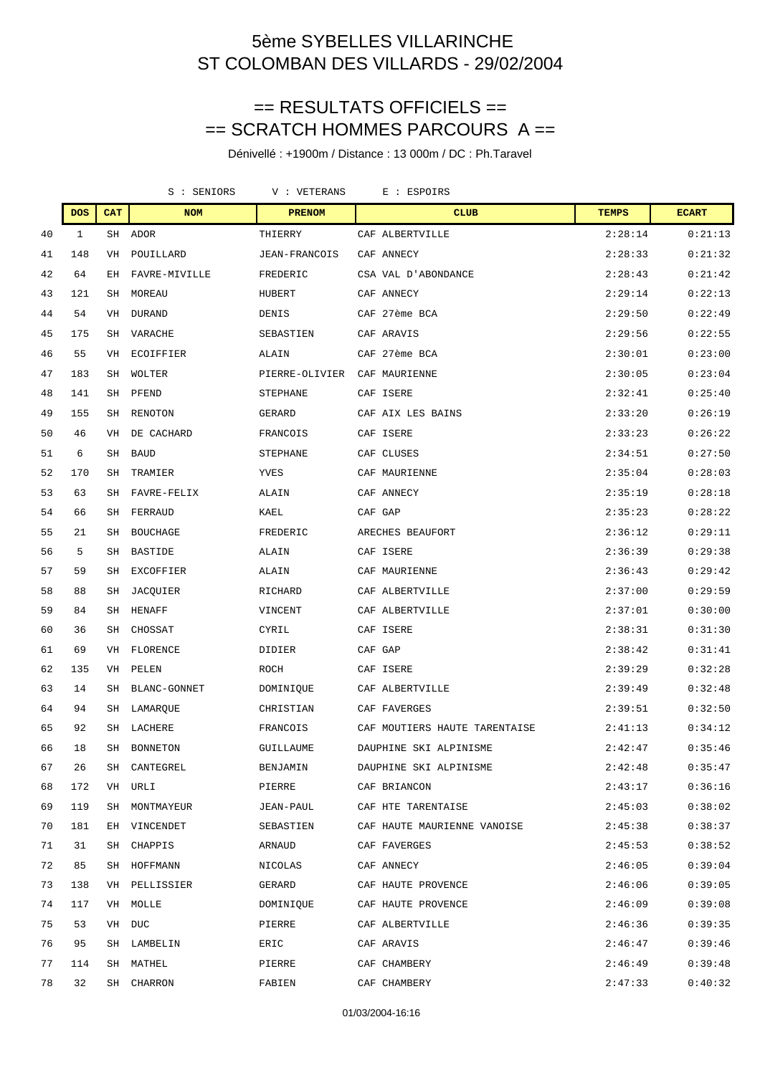## == RESULTATS OFFICIELS == == SCRATCH HOMMES PARCOURS A ==

Dénivellé : +1900m / Distance : 13 000m / DC : Ph.Taravel

|    |            |            | S : SENIORS     | V : VETERANS<br>E : ESPOIRS |  |                               |              |              |
|----|------------|------------|-----------------|-----------------------------|--|-------------------------------|--------------|--------------|
|    | <b>DOS</b> | <b>CAT</b> | <b>NOM</b>      | <b>PRENOM</b>               |  | <b>CLUB</b>                   | <b>TEMPS</b> | <b>ECART</b> |
| 40 | 1          |            | SH ADOR         | THIERRY                     |  | CAF ALBERTVILLE               | 2:28:14      | 0:21:13      |
| 41 | 148        | VH         | POUILLARD       | JEAN-FRANCOIS               |  | CAF ANNECY                    | 2:28:33      | 0:21:32      |
| 42 | 64         | EН         | FAVRE-MIVILLE   | FREDERIC                    |  | CSA VAL D'ABONDANCE           | 2:28:43      | 0:21:42      |
| 43 | 121        | SH         | MOREAU          | HUBERT                      |  | CAF ANNECY                    | 2:29:14      | 0:22:13      |
| 44 | 54         | VH         | <b>DURAND</b>   | <b>DENIS</b>                |  | CAF 27ème BCA                 | 2:29:50      | 0:22:49      |
| 45 | 175        | SH         | VARACHE         | SEBASTIEN                   |  | CAF ARAVIS                    | 2:29:56      | 0:22:55      |
| 46 | 55         | VH         | ECOIFFIER       | ALAIN                       |  | CAF 27ème BCA                 | 2:30:01      | 0:23:00      |
| 47 | 183        | SH         | WOLTER          | PIERRE-OLIVIER              |  | CAF MAURIENNE                 | 2:30:05      | 0:23:04      |
| 48 | 141        | SH         | PFEND           | STEPHANE                    |  | CAF ISERE                     | 2:32:41      | 0:25:40      |
| 49 | 155        | SH         | RENOTON         | GERARD                      |  | CAF AIX LES BAINS             | 2:33:20      | 0:26:19      |
| 50 | 46         | VH         | DE CACHARD      | FRANCOIS                    |  | CAF ISERE                     | 2:33:23      | 0:26:22      |
| 51 | 6          | SH         | <b>BAUD</b>     | STEPHANE                    |  | CAF CLUSES                    | 2:34:51      | 0:27:50      |
| 52 | 170        | SH         | TRAMIER         | YVES                        |  | CAF MAURIENNE                 | 2:35:04      | 0:28:03      |
| 53 | 63         | SH         | FAVRE-FELIX     | ALAIN                       |  | CAF ANNECY                    | 2:35:19      | 0:28:18      |
| 54 | 66         | SH         | FERRAUD         | KAEL                        |  | CAF GAP                       | 2:35:23      | 0:28:22      |
| 55 | 21         | SH         | <b>BOUCHAGE</b> | FREDERIC                    |  | ARECHES BEAUFORT              | 2:36:12      | 0:29:11      |
| 56 | 5          | SH         | <b>BASTIDE</b>  | ALAIN                       |  | CAF ISERE                     | 2:36:39      | 0:29:38      |
| 57 | 59         | SH         | EXCOFFIER       | ALAIN                       |  | CAF MAURIENNE                 | 2:36:43      | 0:29:42      |
| 58 | 88         | SH         | JACOUIER        | RICHARD                     |  | CAF ALBERTVILLE               | 2:37:00      | 0:29:59      |
| 59 | 84         | SH         | HENAFF          | VINCENT                     |  | CAF ALBERTVILLE               | 2:37:01      | 0:30:00      |
| 60 | 36         | SH         | CHOSSAT         | CYRIL                       |  | CAF ISERE                     | 2:38:31      | 0:31:30      |
| 61 | 69         | VH         | FLORENCE        | DIDIER                      |  | CAF GAP                       | 2:38:42      | 0:31:41      |
| 62 | 135        | VH         | PELEN           | ROCH                        |  | CAF ISERE                     | 2:39:29      | 0:32:28      |
| 63 | 14         | SH         | BLANC-GONNET    | DOMINIQUE                   |  | CAF ALBERTVILLE               | 2:39:49      | 0:32:48      |
| 64 | 94         | SH         | LAMARQUE        | CHRISTIAN                   |  | CAF FAVERGES                  | 2:39:51      | 0:32:50      |
| 65 | 92         | SH         | LACHERE         | FRANCOIS                    |  | CAF MOUTIERS HAUTE TARENTAISE | 2:41:13      | 0:34:12      |
| 66 | 18         | SH         | BONNETON        | GUILLAUME                   |  | DAUPHINE SKI ALPINISME        | 2:42:47      | 0:35:46      |
| 67 | 26         | SH         | CANTEGREL       | BENJAMIN                    |  | DAUPHINE SKI ALPINISME        | 2:42:48      | 0:35:47      |
| 68 | 172        |            | VH URLI         | PIERRE                      |  | CAF BRIANCON                  | 2:43:17      | 0:36:16      |
| 69 | 119        |            | SH MONTMAYEUR   | JEAN-PAUL                   |  | CAF HTE TARENTAISE            | 2:45:03      | 0:38:02      |
| 70 | 181        |            | EH VINCENDET    | SEBASTIEN                   |  | CAF HAUTE MAURIENNE VANOISE   | 2:45:38      | 0:38:37      |
| 71 | 31         |            | SH CHAPPIS      | ARNAUD                      |  | CAF FAVERGES                  | 2:45:53      | 0:38:52      |
| 72 | 85         |            | SH HOFFMANN     | NICOLAS                     |  | CAF ANNECY                    | 2:46:05      | 0:39:04      |
| 73 | 138        |            | VH PELLISSIER   | GERARD                      |  | CAF HAUTE PROVENCE            | 2:46:06      | 0:39:05      |
| 74 | 117        |            | VH MOLLE        | DOMINIQUE                   |  | CAF HAUTE PROVENCE            | 2:46:09      | 0:39:08      |
| 75 | 53         |            | VH DUC          | PIERRE                      |  | CAF ALBERTVILLE               | 2:46:36      | 0:39:35      |
| 76 | 95         |            | SH LAMBELIN     | ERIC                        |  | CAF ARAVIS                    | 2:46:47      | 0:39:46      |
| 77 | 114        |            | SH MATHEL       | PIERRE                      |  | CAF CHAMBERY                  | 2:46:49      | 0:39:48      |
| 78 | 32         |            | SH CHARRON      | FABIEN                      |  | CAF CHAMBERY                  | 2:47:33      | 0:40:32      |

#### 01/03/2004-16:16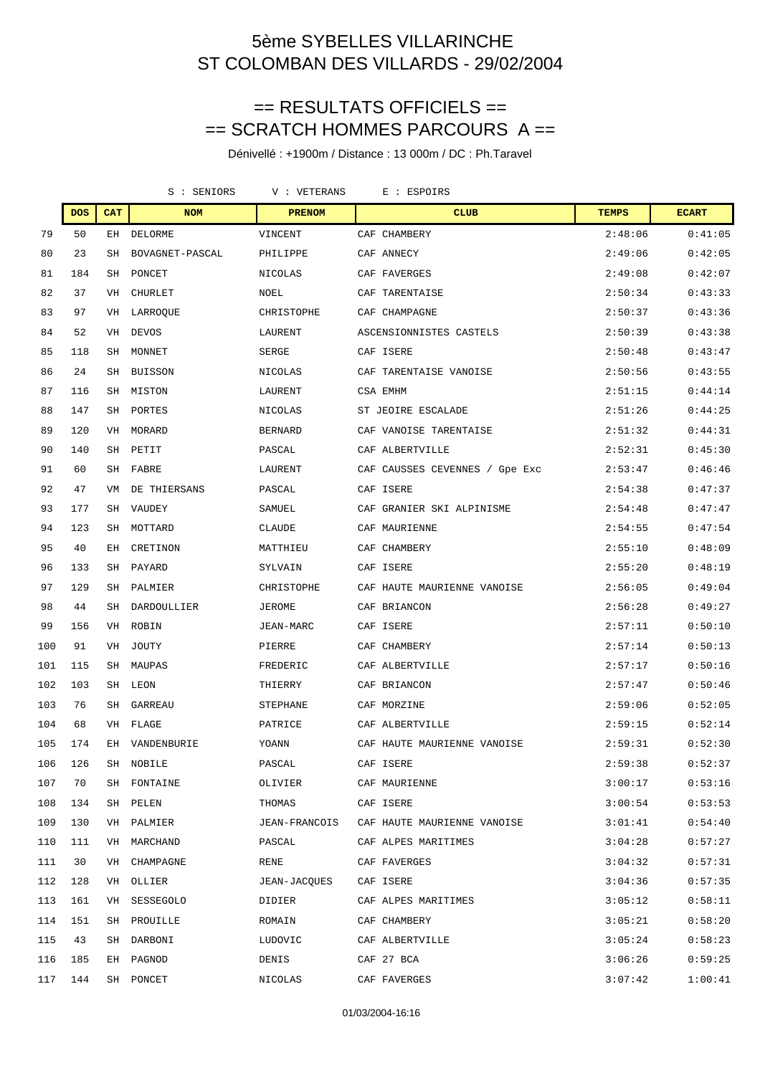## == RESULTATS OFFICIELS == == SCRATCH HOMMES PARCOURS A ==

|     |            |            | S : SENIORS     | V : VETERANS    | E : ESPOIRS                    |              |              |
|-----|------------|------------|-----------------|-----------------|--------------------------------|--------------|--------------|
|     | <b>DOS</b> | <b>CAT</b> | <b>NOM</b>      | <b>PRENOM</b>   | <b>CLUB</b>                    | <b>TEMPS</b> | <b>ECART</b> |
| 79  | 50         | EН         | DELORME         | VINCENT         | CAF CHAMBERY                   | 2:48:06      | 0:41:05      |
| 80  | 23         | SH         | BOVAGNET-PASCAL | PHILIPPE        | CAF ANNECY                     | 2:49:06      | 0:42:05      |
| 81  | 184        | SH         | PONCET          | NICOLAS         | CAF FAVERGES                   | 2:49:08      | 0:42:07      |
| 82  | 37         | VH         | <b>CHURLET</b>  | NOEL            | CAF TARENTAISE                 | 2:50:34      | 0:43:33      |
| 83  | 97         | VH         | LARROQUE        | CHRISTOPHE      | CAF CHAMPAGNE                  | 2:50:37      | 0:43:36      |
| 84  | 52         | VH         | <b>DEVOS</b>    | LAURENT         | ASCENSIONNISTES CASTELS        | 2:50:39      | 0:43:38      |
| 85  | 118        | SH         | <b>MONNET</b>   | <b>SERGE</b>    | CAF ISERE                      | 2:50:48      | 0:43:47      |
| 86  | 24         | SH         | BUISSON         | NICOLAS         | CAF TARENTAISE VANOISE         | 2:50:56      | 0:43:55      |
| 87  | 116        | SH         | MISTON          | LAURENT         | CSA EMHM                       | 2:51:15      | 0:44:14      |
| 88  | 147        | SH         | PORTES          | NICOLAS         | ST JEOIRE ESCALADE             | 2:51:26      | 0:44:25      |
| 89  | 120        | VH         | MORARD          | <b>BERNARD</b>  | CAF VANOISE TARENTAISE         | 2:51:32      | 0:44:31      |
| 90  | 140        | SH         | PETIT           | PASCAL          | CAF ALBERTVILLE                | 2:52:31      | 0:45:30      |
| 91  | 60         | SH         | FABRE           | LAURENT         | CAF CAUSSES CEVENNES / Gpe Exc | 2:53:47      | 0:46:46      |
| 92  | 47         | VM         | DE THIERSANS    | PASCAL          | CAF ISERE                      | 2:54:38      | 0:47:37      |
| 93  | 177        | SH         | <b>VAUDEY</b>   | SAMUEL          | CAF GRANIER SKI ALPINISME      | 2:54:48      | 0:47:47      |
| 94  | 123        | SH         | MOTTARD         | <b>CLAUDE</b>   | CAF MAURIENNE                  | 2:54:55      | 0:47:54      |
| 95  | 40         | EН         | CRETINON        | MATTHIEU        | CAF CHAMBERY                   | 2:55:10      | 0:48:09      |
| 96  | 133        | SH         | PAYARD          | SYLVAIN         | CAF ISERE                      | 2:55:20      | 0:48:19      |
| 97  | 129        | SH         | PALMIER         | CHRISTOPHE      | CAF HAUTE MAURIENNE VANOISE    | 2:56:05      | 0:49:04      |
| 98  | 44         | SH         | DARDOULLIER     | <b>JEROME</b>   | CAF BRIANCON                   | 2:56:28      | 0:49:27      |
| 99  | 156        | VH         | ROBIN           | JEAN-MARC       | CAF ISERE                      | 2:57:11      | 0:50:10      |
| 100 | 91         | VH         | JOUTY           | PIERRE          | CAF CHAMBERY                   | 2:57:14      | 0:50:13      |
| 101 | 115        | SH         | MAUPAS          | FREDERIC        | CAF ALBERTVILLE                | 2:57:17      | 0:50:16      |
| 102 | 103        | SH         | LEON            | THIERRY         | CAF BRIANCON                   | 2:57:47      | 0:50:46      |
| 103 | 76         | SH         | GARREAU         | <b>STEPHANE</b> | CAF MORZINE                    | 2:59:06      | 0:52:05      |
| 104 | 68         | VH         | FLAGE           | PATRICE         | CAF ALBERTVILLE                | 2:59:15      | 0:52:14      |
| 105 | 174        | EН         | VANDENBURIE     | YOANN           | CAF HAUTE MAURIENNE VANOISE    | 2:59:31      | 0:52:30      |
| 106 | 126        | SН         | NOBILE          | PASCAL          | CAF ISERE                      | 2:59:38      | 0:52:37      |
| 107 | 70         |            | SH FONTAINE     | OLIVIER         | CAF MAURIENNE                  | 3:00:17      | 0:53:16      |
| 108 | 134        | SH         | PELEN           | THOMAS          | CAF ISERE                      | 3:00:54      | 0:53:53      |
| 109 | 130        | VH         | PALMIER         | JEAN-FRANCOIS   | CAF HAUTE MAURIENNE VANOISE    | 3:01:41      | 0:54:40      |
| 110 | 111        | VH         | MARCHAND        | PASCAL          | CAF ALPES MARITIMES            | 3:04:28      | 0:57:27      |
| 111 | 30         | VH         | CHAMPAGNE       | RENE            | CAF FAVERGES                   | 3:04:32      | 0:57:31      |
| 112 | 128        | VH         | OLLIER          | JEAN-JACOUES    | CAF ISERE                      | 3:04:36      | 0:57:35      |
| 113 | 161        | VH         | SESSEGOLO       | DIDIER          | CAF ALPES MARITIMES            | 3:05:12      | 0:58:11      |
| 114 | 151        | SH         | PROUILLE        | ROMAIN          | CAF CHAMBERY                   | 3:05:21      | 0:58:20      |
| 115 | 43         | SH         | DARBONI         | LUDOVIC         | CAF ALBERTVILLE                | 3:05:24      | 0:58:23      |
| 116 | 185        | EH         | PAGNOD          | DENIS           | CAF 27 BCA                     | 3:06:26      | 0:59:25      |
| 117 | 144        |            | SH PONCET       | NICOLAS         | CAF FAVERGES                   | 3:07:42      | 1:00:41      |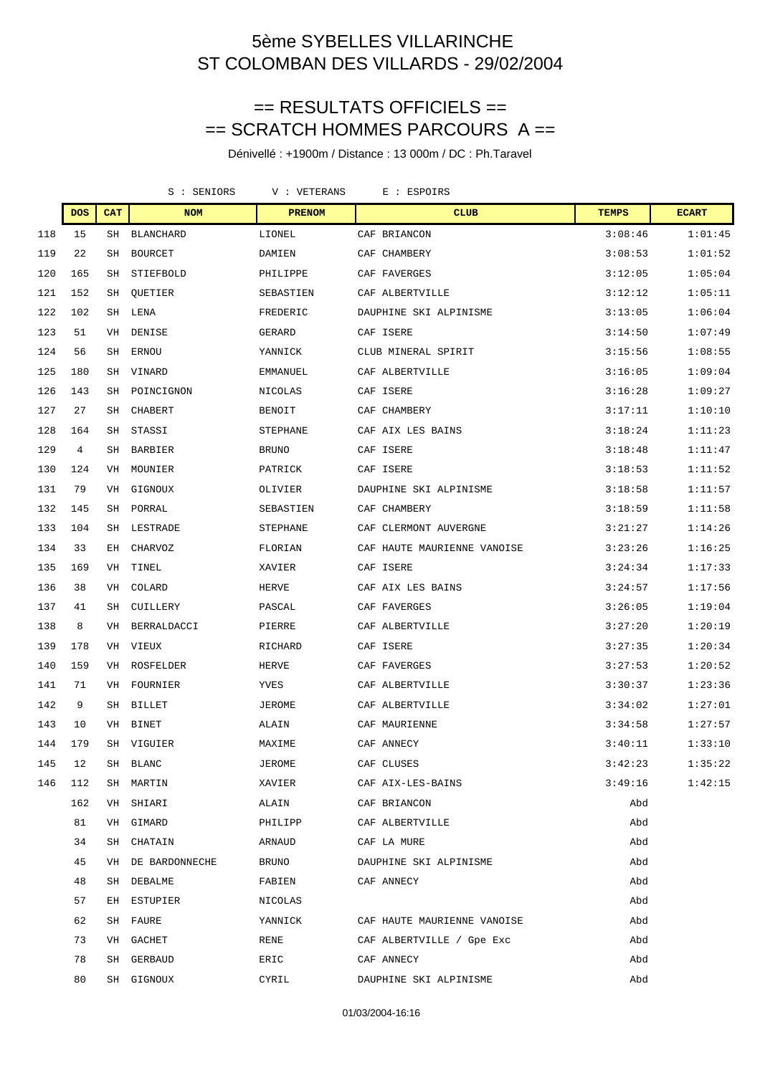## == RESULTATS OFFICIELS == == SCRATCH HOMMES PARCOURS A ==

|     |            |            | S : SENIORS       | V : VETERANS<br>E : ESPOIRS |                             |              |              |
|-----|------------|------------|-------------------|-----------------------------|-----------------------------|--------------|--------------|
|     | <b>DOS</b> | <b>CAT</b> | <b>NOM</b>        | <b>PRENOM</b>               | <b>CLUB</b>                 | <b>TEMPS</b> | <b>ECART</b> |
| 118 | 15         | SH         | BLANCHARD         | LIONEL                      | CAF BRIANCON                | 3:08:46      | 1:01:45      |
| 119 | 22         | SH         | <b>BOURCET</b>    | DAMIEN                      | CAF CHAMBERY                | 3:08:53      | 1:01:52      |
| 120 | 165        | SH         | STIEFBOLD         | PHILIPPE                    | CAF FAVERGES                | 3:12:05      | 1:05:04      |
| 121 | 152        | SH         | QUETIER           | SEBASTIEN                   | CAF ALBERTVILLE             | 3:12:12      | 1:05:11      |
| 122 | 102        | SH         | LENA              | FREDERIC                    | DAUPHINE SKI ALPINISME      | 3:13:05      | 1:06:04      |
| 123 | 51         | VH         | DENISE            | GERARD                      | CAF ISERE                   | 3:14:50      | 1:07:49      |
| 124 | 56         | SH         | ERNOU             | YANNICK                     | CLUB MINERAL SPIRIT         | 3:15:56      | 1:08:55      |
| 125 | 180        | SH         | VINARD            | EMMANUEL                    | CAF ALBERTVILLE             | 3:16:05      | 1:09:04      |
| 126 | 143        | SH         | POINCIGNON        | NICOLAS                     | CAF ISERE                   | 3:16:28      | 1:09:27      |
| 127 | 27         | SH         | CHABERT           | BENOIT                      | CAF CHAMBERY                | 3:17:11      | 1:10:10      |
| 128 | 164        | SH         | STASSI            | STEPHANE                    | CAF AIX LES BAINS           | 3:18:24      | 1:11:23      |
| 129 | 4          | SH         | <b>BARBIER</b>    | <b>BRUNO</b>                | CAF ISERE                   | 3:18:48      | 1:11:47      |
| 130 | 124        | VH         | MOUNIER           | PATRICK                     | CAF ISERE                   | 3:18:53      | 1:11:52      |
| 131 | 79         | VH         | GIGNOUX           | OLIVIER                     | DAUPHINE SKI ALPINISME      | 3:18:58      | 1:11:57      |
| 132 | 145        | SH         | PORRAL            | SEBASTIEN                   | CAF CHAMBERY                | 3:18:59      | 1:11:58      |
| 133 | 104        | SH         | LESTRADE          | STEPHANE                    | CAF CLERMONT AUVERGNE       | 3:21:27      | 1:14:26      |
| 134 | 33         | EН         | CHARVOZ           | FLORIAN                     | CAF HAUTE MAURIENNE VANOISE | 3:23:26      | 1:16:25      |
| 135 | 169        | VH         | TINEL             | XAVIER                      | CAF ISERE                   | 3:24:34      | 1:17:33      |
| 136 | 38         | VH         | COLARD            | HERVE                       | CAF AIX LES BAINS           | 3:24:57      | 1:17:56      |
| 137 | 41         | SH         | CUILLERY          | PASCAL                      | CAF FAVERGES                | 3:26:05      | 1:19:04      |
| 138 | 8          | VH         | BERRALDACCI       | PIERRE                      | CAF ALBERTVILLE             | 3:27:20      | 1:20:19      |
| 139 | 178        | VH         | VIEUX             | RICHARD                     | CAF ISERE                   | 3:27:35      | 1:20:34      |
| 140 | 159        | VH         | ROSFELDER         | HERVE                       | CAF FAVERGES                | 3:27:53      | 1:20:52      |
| 141 | 71         | VH         | FOURNIER          | YVES                        | CAF ALBERTVILLE             | 3:30:37      | 1:23:36      |
| 142 | 9          | SH         | BILLET            | JEROME                      | CAF ALBERTVILLE             | 3:34:02      | 1:27:01      |
| 143 | 10         | VH         | BINET             | ALAIN                       | CAF MAURIENNE               | 3:34:58      | 1:27:57      |
| 144 | 179        |            | SH VIGUIER        | MAXIME                      | CAF ANNECY                  | 3:40:11      | 1:33:10      |
| 145 | 12         | SH         | BLANC             | JEROME                      | CAF CLUSES                  | 3:42:23      | 1:35:22      |
| 146 | 112        |            | SH MARTIN         | XAVIER                      | CAF AIX-LES-BAINS           | 3:49:16      | 1:42:15      |
|     | 162        |            | VH SHIARI         | ALAIN                       | CAF BRIANCON                | Abd          |              |
|     | 81         |            | VH GIMARD         | PHILIPP                     | CAF ALBERTVILLE             | Abd          |              |
|     | 34         |            | SH CHATAIN        | ARNAUD                      | CAF LA MURE                 | Abd          |              |
|     | 45         |            | VH DE BARDONNECHE | BRUNO                       | DAUPHINE SKI ALPINISME      | Abd          |              |
|     | 48         |            | SH DEBALME        | FABIEN                      | CAF ANNECY                  | Abd          |              |
|     | 57         |            | EH ESTUPIER       | NICOLAS                     |                             | Abd          |              |
|     | 62         |            | SH FAURE          | YANNICK                     | CAF HAUTE MAURIENNE VANOISE | Abd          |              |
|     | 73         |            | VH GACHET         | RENE                        | CAF ALBERTVILLE / Gpe Exc   | Abd          |              |
|     | 78         |            | SH GERBAUD        | ERIC                        | CAF ANNECY                  | Abd          |              |
|     | 80         |            | SH GIGNOUX        | CYRIL                       | DAUPHINE SKI ALPINISME      | Abd          |              |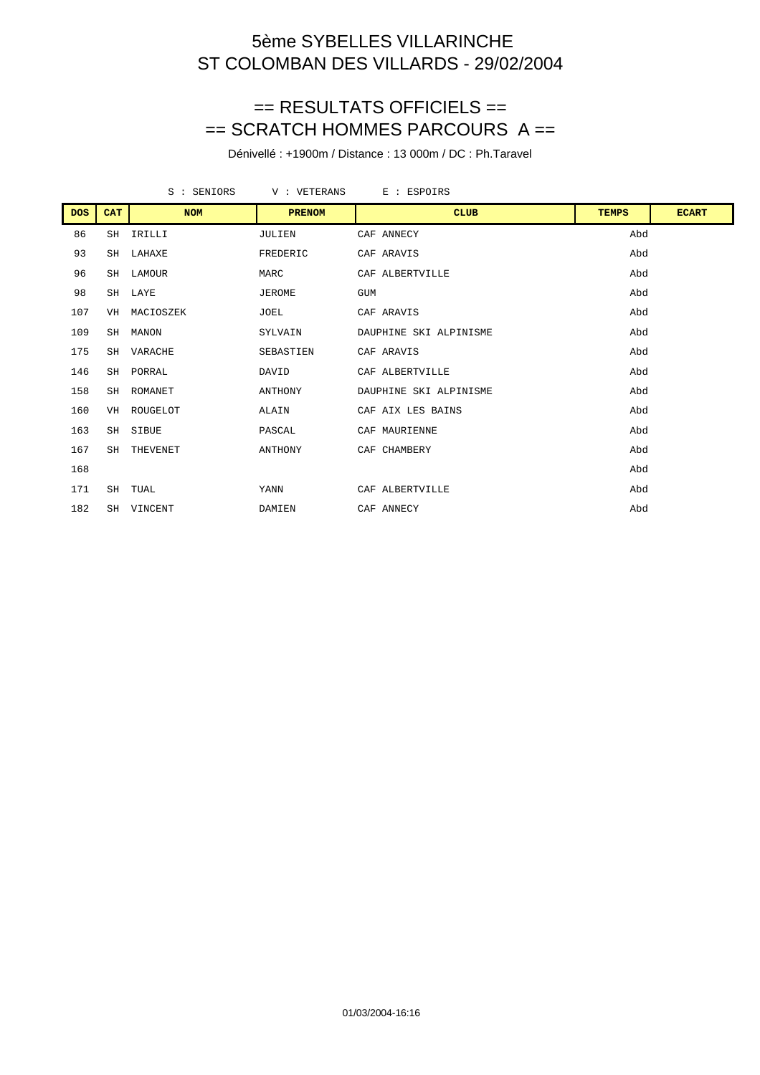#### == RESULTATS OFFICIELS == == SCRATCH HOMMES PARCOURS A ==

|            |            | S : SENIORS | V : VETERANS  | E : ESPOIRS            |              |              |
|------------|------------|-------------|---------------|------------------------|--------------|--------------|
| <b>DOS</b> | <b>CAT</b> | <b>NOM</b>  | <b>PRENOM</b> | <b>CLUB</b>            | <b>TEMPS</b> | <b>ECART</b> |
| 86         | SH         | IRILLI      | JULIEN        | CAF ANNECY             | Abd          |              |
| 93         |            | SH LAHAXE   | FREDERIC      | CAF ARAVIS             | Abd          |              |
| 96         |            | SH LAMOUR   | MARC          | CAF ALBERTVILLE        | Abd          |              |
| 98         |            | SH LAYE     | JEROME        | <b>GUM</b>             | Abd          |              |
| 107        | VH         | MACIOSZEK   | <b>JOEL</b>   | CAF ARAVIS             | Abd          |              |
| 109        | SH         | MANON       | SYLVAIN       | DAUPHINE SKI ALPINISME | Abd          |              |
| 175        |            | SH VARACHE  | SEBASTIEN     | CAF ARAVIS             | Abd          |              |
| 146        |            | SH PORRAL   | DAVID         | CAF ALBERTVILLE        | Abd          |              |
| 158        | SH         | ROMANET     | ANTHONY       | DAUPHINE SKI ALPINISME | Abd          |              |
| 160        | VH         | ROUGELOT    | ALAIN         | CAF AIX LES BAINS      | Abd          |              |
| 163        |            | SH SIBUE    | PASCAL        | CAF MAURIENNE          | Abd          |              |
| 167        | SH         | THEVENET    | ANTHONY       | CAF CHAMBERY           | Abd          |              |
| 168        |            |             |               |                        | Abd          |              |
| 171        |            | SH TUAL     | YANN          | CAF ALBERTVILLE        | Abd          |              |
| 182        |            | SH VINCENT  | DAMIEN        | CAF ANNECY             | Abd          |              |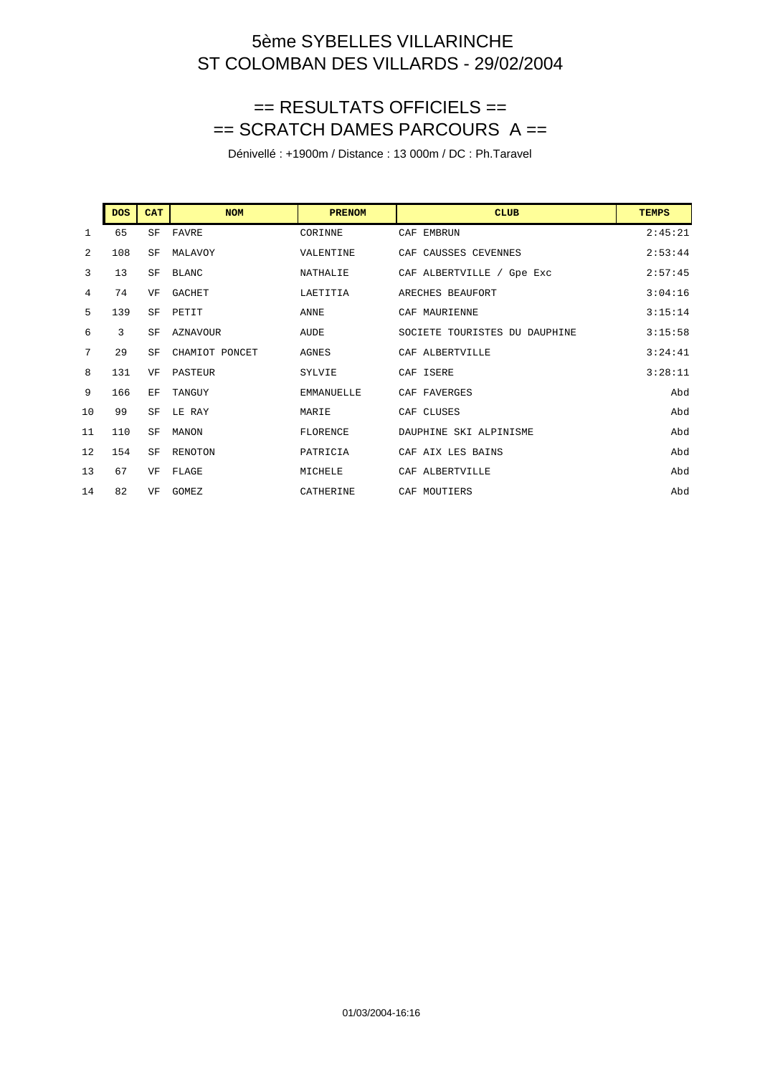## == RESULTATS OFFICIELS == == SCRATCH DAMES PARCOURS A ==

|                | <b>DOS</b> | <b>CAT</b> | <b>NOM</b>      | <b>PRENOM</b>     | <b>CLUB</b>                   | <b>TEMPS</b> |
|----------------|------------|------------|-----------------|-------------------|-------------------------------|--------------|
| 1              | 65         | SF         | FAVRE           | CORINNE           | CAF EMBRUN                    | 2:45:21      |
| $\overline{a}$ | 108        | SF         | MALAVOY         | VALENTINE         | CAF CAUSSES CEVENNES          | 2:53:44      |
| 3              | 13         | SF         | BLANC           | NATHALIE          | CAF ALBERTVILLE / Gpe Exc     | 2:57:45      |
| 4              | 74         | VF         | <b>GACHET</b>   | LAETITIA          | ARECHES BEAUFORT              | 3:04:16      |
| 5              | 139        | SF         | PETIT           | ANNE              | CAF MAURIENNE                 | 3:15:14      |
| 6              | 3          | SF         | <b>AZNAVOUR</b> | AUDE              | SOCIETE TOURISTES DU DAUPHINE | 3:15:58      |
| 7              | 29         | SF         | CHAMIOT PONCET  | <b>AGNES</b>      | CAF ALBERTVILLE               | 3:24:41      |
| 8              | 131        | VF         | PASTEUR         | SYLVIE            | CAF ISERE                     | 3:28:11      |
| 9              | 166        | EF         | TANGUY          | <b>EMMANUELLE</b> | CAF FAVERGES                  | Abd          |
| 10             | 99         | SF         | LE RAY          | MARIE             | CAF CLUSES                    | Abd          |
| 11             | 110        | SF         | MANON           | <b>FLORENCE</b>   | DAUPHINE SKI ALPINISME        | Abd          |
| 12             | 154        | SF         | RENOTON         | PATRICIA          | CAF AIX LES BAINS             | Abd          |
| 13             | 67         | VF         | FLAGE           | MICHELE           | CAF ALBERTVILLE               | Abd          |
| 14             | 82         | VF         | GOMEZ           | CATHERINE         | CAF MOUTIERS                  | Abd          |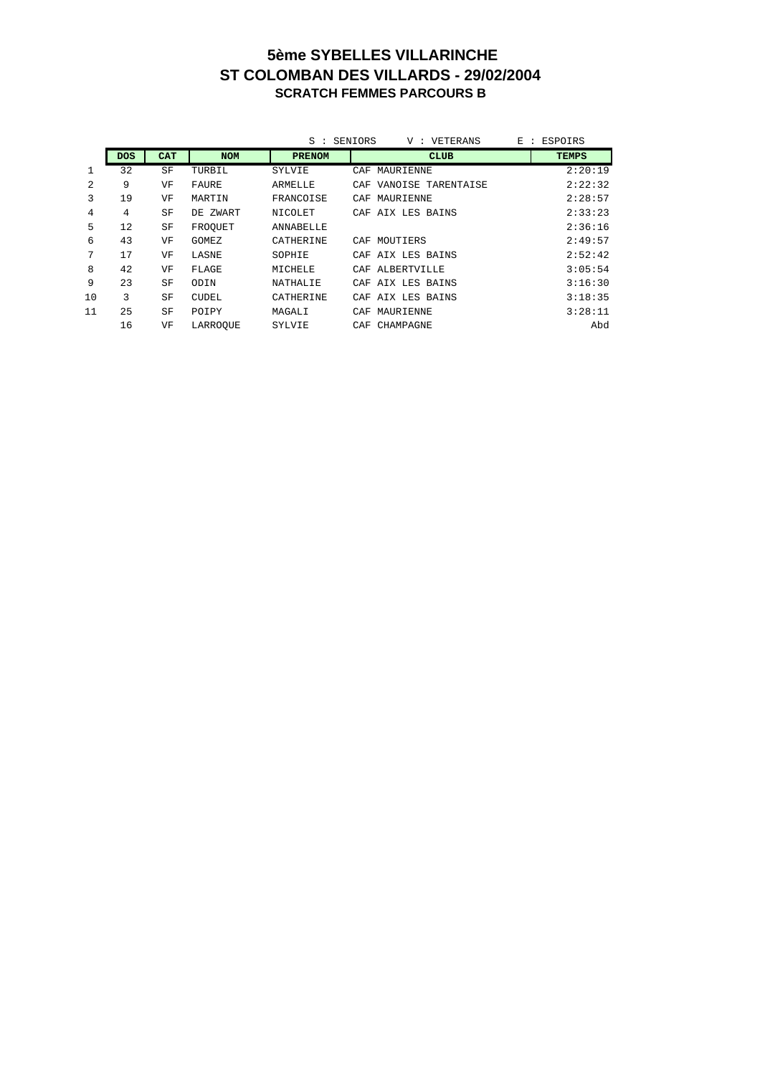#### **5ème SYBELLES VILLARINCHE ST COLOMBAN DES VILLARDS - 29/02/2004 SCRATCH FEMMES PARCOURS B**

|    |            |            |            | $S :$ SENIORS    | V : VETERANS<br>E<br>$\ddot{\phantom{0}}$ | ESPOIRS      |
|----|------------|------------|------------|------------------|-------------------------------------------|--------------|
|    | <b>DOS</b> | <b>CAT</b> | <b>NOM</b> | <b>PRENOM</b>    | <b>CLUB</b>                               | <b>TEMPS</b> |
| 1  | 32         | SF         | TURBIL     | SYLVIE           | MAURIENNE<br>CAF                          | 2:20:19      |
| 2  | 9          | VF         | FAURE      | ARMELLE          | CAF VANOISE TARENTAISE                    | 2:22:32      |
| 3  | 19         | VF         | MARTIN     | FRANCOISE        | MAURIENNE<br>CAF                          | 2:28:57      |
| 4  | 4          | SF         | DE ZWART   | NICOLET          | AIX LES BAINS<br>CAF                      | 2:33:23      |
| 5  | 12         | SF         | FROOUET    | ANNABELLE        |                                           | 2:36:16      |
| 6  | 43         | VF         | GOMEZ      | CATHERINE        | CAF MOUTIERS                              | 2:49:57      |
| 7  | 17         | VF         | LASNE      | SOPHIE           | CAF AIX LES BAINS                         | 2:52:42      |
| 8  | 42         | VF         | FLAGE      | MICHELE          | ALBERTVILLE<br>CAF                        | 3:05:54      |
| 9  | 23         | SF         | ODIN       | NATHALIE         | CAF AIX LES BAINS                         | 3:16:30      |
| 10 | 3          | SF         | CUDEL      | <b>CATHERINE</b> | CAF AIX LES BAINS                         | 3:18:35      |
| 11 | 25         | SF         | POIPY      | MAGALI           | MAURIENNE<br>CAF                          | 3:28:11      |
|    | 16         | VF         | LARROOUE   | SYLVIE           | CAF CHAMPAGNE                             | Abd          |